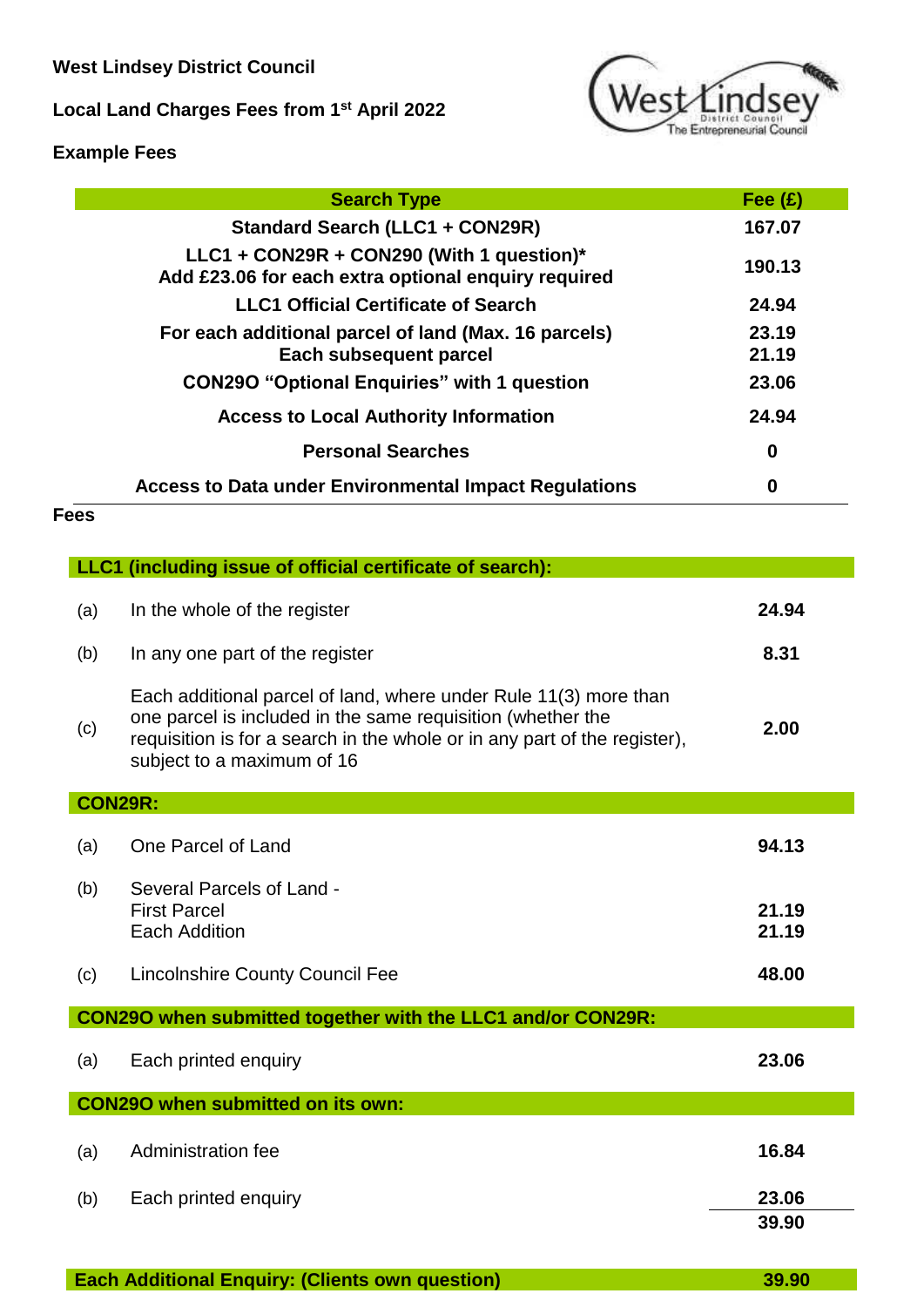**West Lindsey District Council**

**Local Land Charges Fees from 1st April 2022**



# **Example Fees**

| <b>Search Type</b>                                                                               | Fee $(f)$      |
|--------------------------------------------------------------------------------------------------|----------------|
| <b>Standard Search (LLC1 + CON29R)</b>                                                           | 167.07         |
| LLC1 + CON29R + CON290 (With 1 question)*<br>Add £23.06 for each extra optional enquiry required | 190.13         |
| <b>LLC1 Official Certificate of Search</b>                                                       | 24.94          |
| For each additional parcel of land (Max. 16 parcels)<br>Each subsequent parcel                   | 23.19<br>21.19 |
| <b>CON290 "Optional Enquiries" with 1 question</b>                                               | 23.06          |
| <b>Access to Local Authority Information</b>                                                     | 24.94          |
| <b>Personal Searches</b>                                                                         | $\bf{0}$       |
| <b>Access to Data under Environmental Impact Regulations</b>                                     | 0              |

# **Fees**

|     | LLC1 (including issue of official certificate of search):                                                                                                                                                                                  |                |
|-----|--------------------------------------------------------------------------------------------------------------------------------------------------------------------------------------------------------------------------------------------|----------------|
| (a) | In the whole of the register                                                                                                                                                                                                               | 24.94          |
| (b) | In any one part of the register                                                                                                                                                                                                            | 8.31           |
| (c) | Each additional parcel of land, where under Rule 11(3) more than<br>one parcel is included in the same requisition (whether the<br>requisition is for a search in the whole or in any part of the register),<br>subject to a maximum of 16 | 2.00           |
|     | <b>CON29R:</b>                                                                                                                                                                                                                             |                |
| (a) | One Parcel of Land                                                                                                                                                                                                                         | 94.13          |
| (b) | Several Parcels of Land -<br><b>First Parcel</b><br><b>Each Addition</b>                                                                                                                                                                   | 21.19<br>21.19 |
| (c) | <b>Lincolnshire County Council Fee</b>                                                                                                                                                                                                     | 48.00          |
|     | CON290 when submitted together with the LLC1 and/or CON29R:                                                                                                                                                                                |                |
| (a) | Each printed enquiry                                                                                                                                                                                                                       | 23.06          |
|     | <b>CON290 when submitted on its own:</b>                                                                                                                                                                                                   |                |
| (a) | Administration fee                                                                                                                                                                                                                         | 16.84          |
| (b) | Each printed enquiry                                                                                                                                                                                                                       | 23.06          |
|     |                                                                                                                                                                                                                                            | 39.90          |

**Each Additional Enquiry: (Clients own question) 39.90**